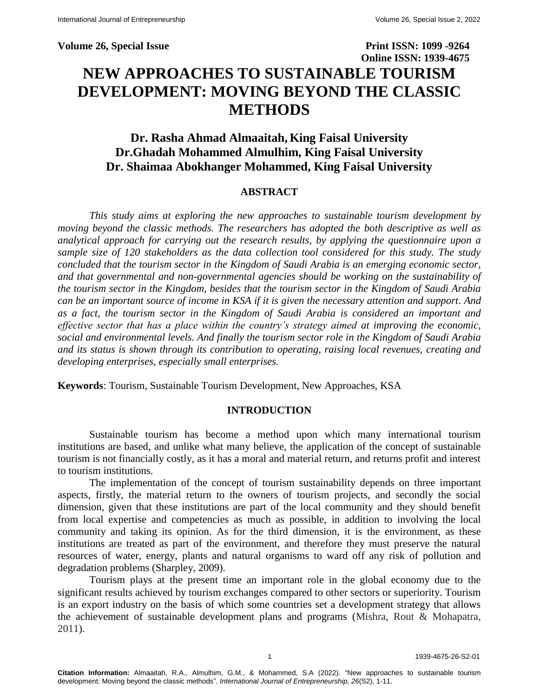**Volume 26, Special Issue Print ISSN: 1099 -9264 Online ISSN: 1939-4675 NEW APPROACHES TO SUSTAINABLE TOURISM DEVELOPMENT: MOVING BEYOND THE CLASSIC METHODS**

# **Dr. Rasha Ahmad Almaaitah, King Faisal University Dr.Ghadah Mohammed Almulhim, King Faisal University Dr. Shaimaa Abokhanger Mohammed, King Faisal University**

### **ABSTRACT**

*This study aims at exploring the new approaches to sustainable tourism development by moving beyond the classic methods. The researchers has adopted the both descriptive as well as analytical approach for carrying out the research results, by applying the questionnaire upon a sample size of 120 stakeholders as the data collection tool considered for this study. The study concluded that the tourism sector in the Kingdom of Saudi Arabia is an emerging economic sector, and that governmental and non-governmental agencies should be working on the sustainability of the tourism sector in the Kingdom, besides that the tourism sector in the Kingdom of Saudi Arabia can be an important source of income in KSA if it is given the necessary attention and support. And as a fact, the tourism sector in the Kingdom of Saudi Arabia is considered an important and effective sector that has a place within the country's strategy aimed at improving the economic, social and environmental levels. And finally the tourism sector role in the Kingdom of Saudi Arabia and its status is shown through its contribution to operating, raising local revenues, creating and developing enterprises, especially small enterprises.*

**Keywords**: Tourism, Sustainable Tourism Development, New Approaches, KSA

# **INTRODUCTION**

Sustainable tourism has become a method upon which many international tourism institutions are based, and unlike what many believe, the application of the concept of sustainable tourism is not financially costly, as it has a moral and material return, and returns profit and interest to tourism institutions.

The implementation of the concept of tourism sustainability depends on three important aspects, firstly, the material return to the owners of tourism projects, and secondly the social dimension, given that these institutions are part of the local community and they should benefit from local expertise and competencies as much as possible, in addition to involving the local community and taking its opinion. As for the third dimension, it is the environment, as these institutions are treated as part of the environment, and therefore they must preserve the natural resources of water, energy, plants and natural organisms to ward off any risk of pollution and degradation problems (Sharpley, 2009).

Tourism plays at the present time an important role in the global economy due to the significant results achieved by tourism exchanges compared to other sectors or superiority. Tourism is an export industry on the basis of which some countries set a development strategy that allows the achievement of sustainable development plans and programs (Mishra, Rout & Mohapatra, 2011).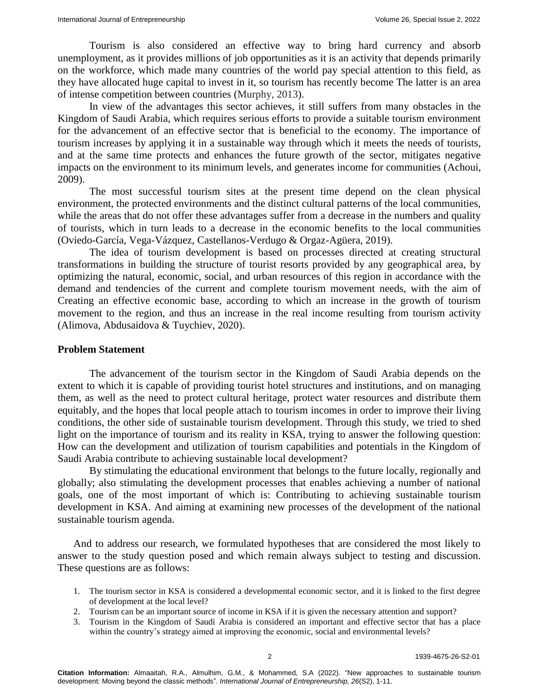Tourism is also considered an effective way to bring hard currency and absorb unemployment, as it provides millions of job opportunities as it is an activity that depends primarily on the workforce, which made many countries of the world pay special attention to this field, as they have allocated huge capital to invest in it, so tourism has recently become The latter is an area of intense competition between countries (Murphy, 2013).

In view of the advantages this sector achieves, it still suffers from many obstacles in the Kingdom of Saudi Arabia, which requires serious efforts to provide a suitable tourism environment for the advancement of an effective sector that is beneficial to the economy. The importance of tourism increases by applying it in a sustainable way through which it meets the needs of tourists, and at the same time protects and enhances the future growth of the sector, mitigates negative impacts on the environment to its minimum levels, and generates income for communities (Achoui, 2009).

The most successful tourism sites at the present time depend on the clean physical environment, the protected environments and the distinct cultural patterns of the local communities, while the areas that do not offer these advantages suffer from a decrease in the numbers and quality of tourists, which in turn leads to a decrease in the economic benefits to the local communities (Oviedo-García, Vega-Vázquez, Castellanos-Verdugo & Orgaz-Agüera, 2019).

The idea of tourism development is based on processes directed at creating structural transformations in building the structure of tourist resorts provided by any geographical area, by optimizing the natural, economic, social, and urban resources of this region in accordance with the demand and tendencies of the current and complete tourism movement needs, with the aim of Creating an effective economic base, according to which an increase in the growth of tourism movement to the region, and thus an increase in the real income resulting from tourism activity (Alimova, Abdusaidova & Tuychiev, 2020).

#### **Problem Statement**

The advancement of the tourism sector in the Kingdom of Saudi Arabia depends on the extent to which it is capable of providing tourist hotel structures and institutions, and on managing them, as well as the need to protect cultural heritage, protect water resources and distribute them equitably, and the hopes that local people attach to tourism incomes in order to improve their living conditions, the other side of sustainable tourism development. Through this study, we tried to shed light on the importance of tourism and its reality in KSA, trying to answer the following question: How can the development and utilization of tourism capabilities and potentials in the Kingdom of Saudi Arabia contribute to achieving sustainable local development?

By stimulating the educational environment that belongs to the future locally, regionally and globally; also stimulating the development processes that enables achieving a number of national goals, one of the most important of which is: Contributing to achieving sustainable tourism development in KSA. And aiming at examining new processes of the development of the national sustainable tourism agenda.

And to address our research, we formulated hypotheses that are considered the most likely to answer to the study question posed and which remain always subject to testing and discussion. These questions are as follows:

- 1. The tourism sector in KSA is considered a developmental economic sector, and it is linked to the first degree of development at the local level?
- 2. Tourism can be an important source of income in KSA if it is given the necessary attention and support?
- 3. Tourism in the Kingdom of Saudi Arabia is considered an important and effective sector that has a place within the country's strategy aimed at improving the economic, social and environmental levels?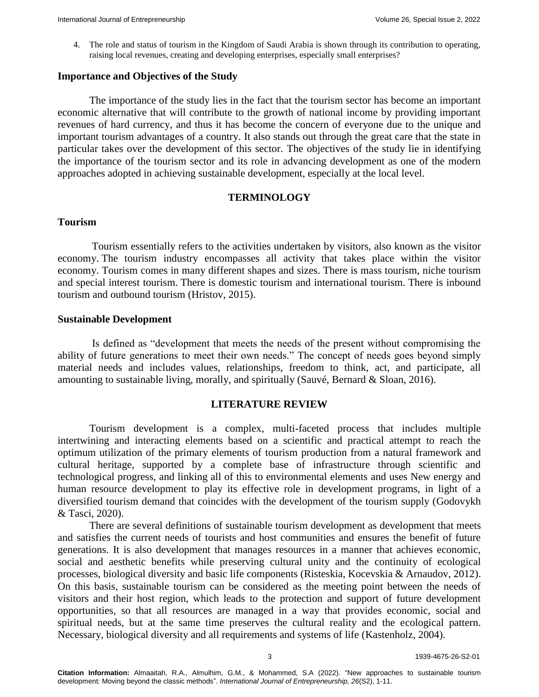4. The role and status of tourism in the Kingdom of Saudi Arabia is shown through its contribution to operating, raising local revenues, creating and developing enterprises, especially small enterprises?

#### **Importance and Objectives of the Study**

The importance of the study lies in the fact that the tourism sector has become an important economic alternative that will contribute to the growth of national income by providing important revenues of hard currency, and thus it has become the concern of everyone due to the unique and important tourism advantages of a country. It also stands out through the great care that the state in particular takes over the development of this sector. The objectives of the study lie in identifying the importance of the tourism sector and its role in advancing development as one of the modern approaches adopted in achieving sustainable development, especially at the local level.

#### **TERMINOLOGY**

#### **Tourism**

Tourism essentially refers to the activities undertaken by visitors, also known as the visitor economy. The tourism industry encompasses all activity that takes place within the visitor economy. Tourism comes in many different shapes and sizes. There is mass tourism, niche tourism and special interest tourism. There is domestic tourism and international tourism. There is inbound tourism and outbound tourism (Hristov, 2015).

#### **Sustainable Development**

Is defined as "development that meets the needs of the present without compromising the ability of future generations to meet their own needs." The concept of needs goes beyond simply material needs and includes values, relationships, freedom to think, act, and participate, all amounting to sustainable living, morally, and spiritually (Sauvé, Bernard & Sloan, 2016).

#### **LITERATURE REVIEW**

Tourism development is a complex, multi-faceted process that includes multiple intertwining and interacting elements based on a scientific and practical attempt to reach the optimum utilization of the primary elements of tourism production from a natural framework and cultural heritage, supported by a complete base of infrastructure through scientific and technological progress, and linking all of this to environmental elements and uses New energy and human resource development to play its effective role in development programs, in light of a diversified tourism demand that coincides with the development of the tourism supply (Godovykh & Tasci, 2020).

There are several definitions of sustainable tourism development as development that meets and satisfies the current needs of tourists and host communities and ensures the benefit of future generations. It is also development that manages resources in a manner that achieves economic, social and aesthetic benefits while preserving cultural unity and the continuity of ecological processes, biological diversity and basic life components (Risteskia, Kocevskia & Arnaudov, 2012). On this basis, sustainable tourism can be considered as the meeting point between the needs of visitors and their host region, which leads to the protection and support of future development opportunities, so that all resources are managed in a way that provides economic, social and spiritual needs, but at the same time preserves the cultural reality and the ecological pattern. Necessary, biological diversity and all requirements and systems of life (Kastenholz, 2004).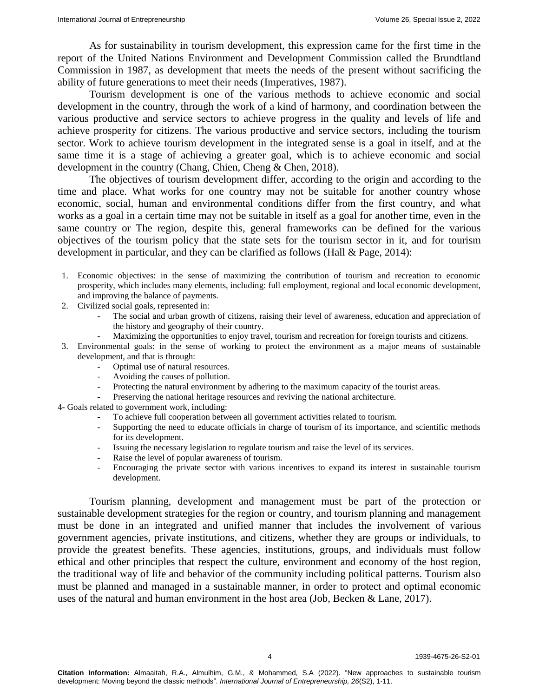As for sustainability in tourism development, this expression came for the first time in the report of the United Nations Environment and Development Commission called the Brundtland Commission in 1987, as development that meets the needs of the present without sacrificing the ability of future generations to meet their needs (Imperatives, 1987).

Tourism development is one of the various methods to achieve economic and social development in the country, through the work of a kind of harmony, and coordination between the various productive and service sectors to achieve progress in the quality and levels of life and achieve prosperity for citizens. The various productive and service sectors, including the tourism sector. Work to achieve tourism development in the integrated sense is a goal in itself, and at the same time it is a stage of achieving a greater goal, which is to achieve economic and social development in the country (Chang, Chien, Cheng & Chen, 2018).

The objectives of tourism development differ, according to the origin and according to the time and place. What works for one country may not be suitable for another country whose economic, social, human and environmental conditions differ from the first country, and what works as a goal in a certain time may not be suitable in itself as a goal for another time, even in the same country or The region, despite this, general frameworks can be defined for the various objectives of the tourism policy that the state sets for the tourism sector in it, and for tourism development in particular, and they can be clarified as follows (Hall & Page, 2014):

- 1. Economic objectives: in the sense of maximizing the contribution of tourism and recreation to economic prosperity, which includes many elements, including: full employment, regional and local economic development, and improving the balance of payments.
- 2. Civilized social goals, represented in:
	- The social and urban growth of citizens, raising their level of awareness, education and appreciation of the history and geography of their country.
	- Maximizing the opportunities to enjoy travel, tourism and recreation for foreign tourists and citizens.
- 3. Environmental goals: in the sense of working to protect the environment as a major means of sustainable development, and that is through:
	- Optimal use of natural resources.
	- Avoiding the causes of pollution.
	- Protecting the natural environment by adhering to the maximum capacity of the tourist areas.
	- Preserving the national heritage resources and reviving the national architecture.
- 4- Goals related to government work, including:
	- To achieve full cooperation between all government activities related to tourism.
	- Supporting the need to educate officials in charge of tourism of its importance, and scientific methods for its development.
	- Issuing the necessary legislation to regulate tourism and raise the level of its services.
	- Raise the level of popular awareness of tourism.
	- Encouraging the private sector with various incentives to expand its interest in sustainable tourism development.

Tourism planning, development and management must be part of the protection or sustainable development strategies for the region or country, and tourism planning and management must be done in an integrated and unified manner that includes the involvement of various government agencies, private institutions, and citizens, whether they are groups or individuals, to provide the greatest benefits. These agencies, institutions, groups, and individuals must follow ethical and other principles that respect the culture, environment and economy of the host region, the traditional way of life and behavior of the community including political patterns. Tourism also must be planned and managed in a sustainable manner, in order to protect and optimal economic uses of the natural and human environment in the host area (Job, Becken & Lane, 2017).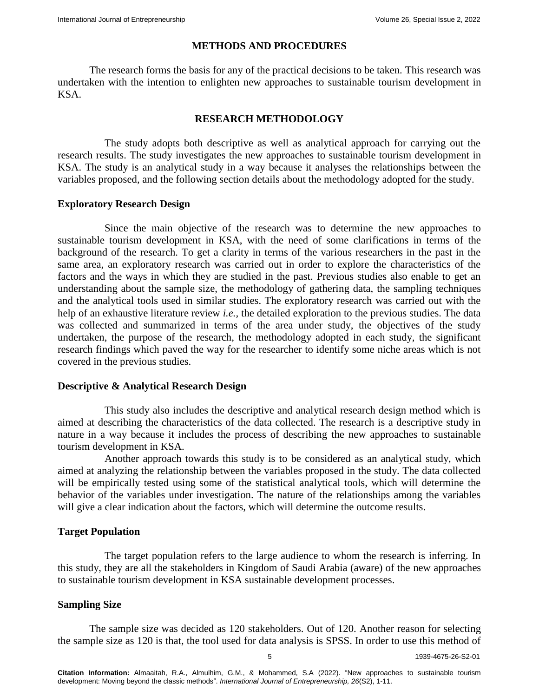# **METHODS AND PROCEDURES**

The research forms the basis for any of the practical decisions to be taken. This research was undertaken with the intention to enlighten new approaches to sustainable tourism development in KSA.

# **RESEARCH METHODOLOGY**

The study adopts both descriptive as well as analytical approach for carrying out the research results. The study investigates the new approaches to sustainable tourism development in KSA. The study is an analytical study in a way because it analyses the relationships between the variables proposed, and the following section details about the methodology adopted for the study.

# **Exploratory Research Design**

Since the main objective of the research was to determine the new approaches to sustainable tourism development in KSA, with the need of some clarifications in terms of the background of the research. To get a clarity in terms of the various researchers in the past in the same area, an exploratory research was carried out in order to explore the characteristics of the factors and the ways in which they are studied in the past. Previous studies also enable to get an understanding about the sample size, the methodology of gathering data, the sampling techniques and the analytical tools used in similar studies. The exploratory research was carried out with the help of an exhaustive literature review *i.e.,* the detailed exploration to the previous studies. The data was collected and summarized in terms of the area under study, the objectives of the study undertaken, the purpose of the research, the methodology adopted in each study, the significant research findings which paved the way for the researcher to identify some niche areas which is not covered in the previous studies.

# **Descriptive & Analytical Research Design**

This study also includes the descriptive and analytical research design method which is aimed at describing the characteristics of the data collected. The research is a descriptive study in nature in a way because it includes the process of describing the new approaches to sustainable tourism development in KSA.

Another approach towards this study is to be considered as an analytical study, which aimed at analyzing the relationship between the variables proposed in the study. The data collected will be empirically tested using some of the statistical analytical tools, which will determine the behavior of the variables under investigation. The nature of the relationships among the variables will give a clear indication about the factors, which will determine the outcome results.

# **Target Population**

The target population refers to the large audience to whom the research is inferring. In this study, they are all the stakeholders in Kingdom of Saudi Arabia (aware) of the new approaches to sustainable tourism development in KSA sustainable development processes.

# **Sampling Size**

The sample size was decided as 120 stakeholders. Out of 120. Another reason for selecting the sample size as 120 is that, the tool used for data analysis is SPSS. In order to use this method of

5 1939-4675-26-S2-01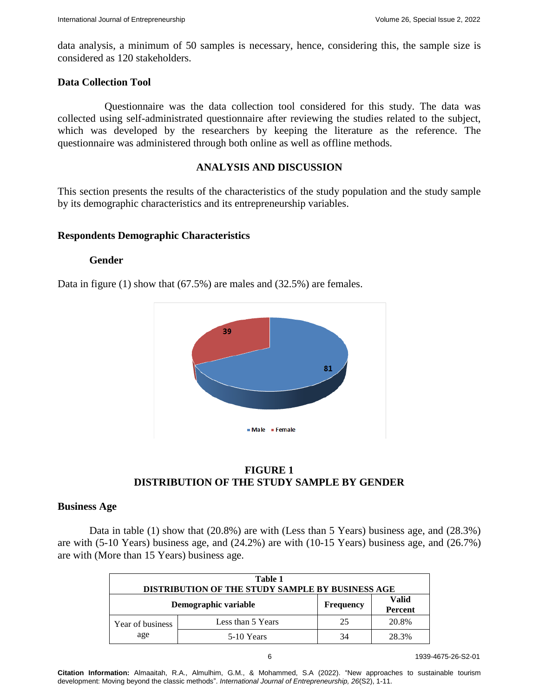data analysis, a minimum of 50 samples is necessary, hence, considering this, the sample size is considered as 120 stakeholders.

### **Data Collection Tool**

Questionnaire was the data collection tool considered for this study. The data was collected using self-administrated questionnaire after reviewing the studies related to the subject, which was developed by the researchers by keeping the literature as the reference. The questionnaire was administered through both online as well as offline methods.

# **ANALYSIS AND DISCUSSION**

This section presents the results of the characteristics of the study population and the study sample by its demographic characteristics and its entrepreneurship variables.

### **Respondents Demographic Characteristics**

#### **Gender**

Data in figure (1) show that (67.5%) are males and (32.5%) are females.



**FIGURE 1 DISTRIBUTION OF THE STUDY SAMPLE BY GENDER**

#### **Business Age**

Data in table (1) show that (20.8%) are with (Less than 5 Years) business age, and (28.3%) are with (5-10 Years) business age, and (24.2%) are with (10-15 Years) business age, and (26.7%) are with (More than 15 Years) business age.

| Table 1<br>DISTRIBUTION OF THE STUDY SAMPLE BY BUSINESS AGE |                   |                  |                         |  |
|-------------------------------------------------------------|-------------------|------------------|-------------------------|--|
| Demographic variable                                        |                   | <b>Frequency</b> | <b>Valid</b><br>Percent |  |
| Year of business<br>age                                     | Less than 5 Years | 25               | 20.8%                   |  |
|                                                             | 5-10 Years        | 34               | 28.3%                   |  |

**Citation Information:** Almaaitah, R.A., Almulhim, G.M., & Mohammed, S.A (2022). "New approaches to sustainable tourism development: Moving beyond the classic methods". *International Journal of Entrepreneurship, 26*(S2), 1-11.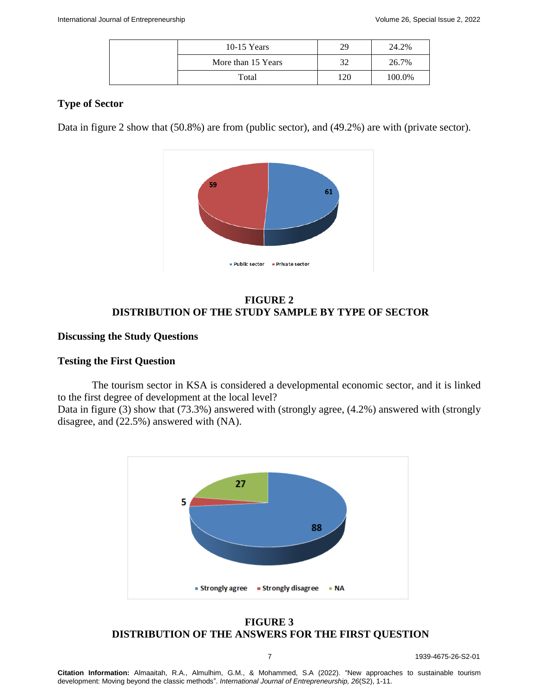| $10-15$ Years      | 29  | 24.2%  |
|--------------------|-----|--------|
| More than 15 Years | 32  | 26.7%  |
| Total              | 120 | 100.0% |

# **Type of Sector**

Data in figure 2 show that (50.8%) are from (public sector), and (49.2%) are with (private sector).



# **FIGURE 2 DISTRIBUTION OF THE STUDY SAMPLE BY TYPE OF SECTOR**

### **Discussing the Study Questions**

#### **Testing the First Question**

The tourism sector in KSA is considered a developmental economic sector, and it is linked to the first degree of development at the local level?

Data in figure (3) show that (73.3%) answered with (strongly agree, (4.2%) answered with (strongly disagree, and (22.5%) answered with (NA).



# **FIGURE 3 DISTRIBUTION OF THE ANSWERS FOR THE FIRST QUESTION**

7 1939-4675-26-S2-01

**Citation Information:** Almaaitah, R.A., Almulhim, G.M., & Mohammed, S.A (2022). "New approaches to sustainable tourism development: Moving beyond the classic methods". *International Journal of Entrepreneurship, 26*(S2), 1-11.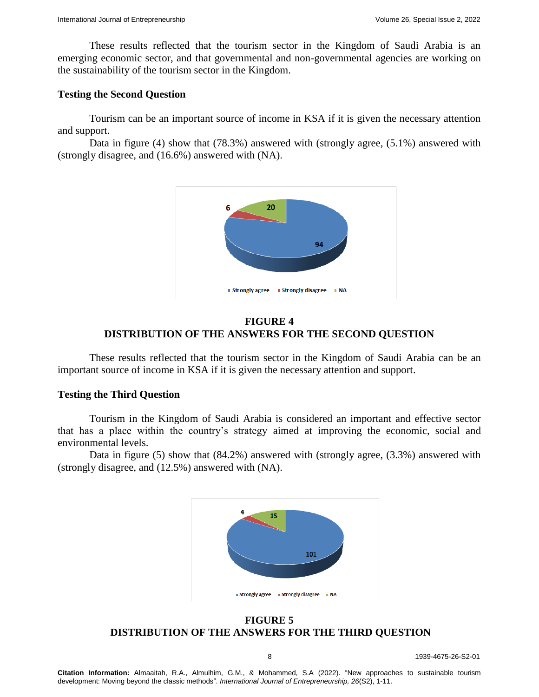These results reflected that the tourism sector in the Kingdom of Saudi Arabia is an emerging economic sector, and that governmental and non-governmental agencies are working on the sustainability of the tourism sector in the Kingdom.

#### **Testing the Second Question**

Tourism can be an important source of income in KSA if it is given the necessary attention and support.

Data in figure (4) show that (78.3%) answered with (strongly agree, (5.1%) answered with (strongly disagree, and (16.6%) answered with (NA).



### **FIGURE 4 DISTRIBUTION OF THE ANSWERS FOR THE SECOND QUESTION**

These results reflected that the tourism sector in the Kingdom of Saudi Arabia can be an important source of income in KSA if it is given the necessary attention and support.

# **Testing the Third Question**

Tourism in the Kingdom of Saudi Arabia is considered an important and effective sector that has a place within the country's strategy aimed at improving the economic, social and environmental levels.

Data in figure (5) show that (84.2%) answered with (strongly agree, (3.3%) answered with (strongly disagree, and (12.5%) answered with (NA).



**FIGURE 5 DISTRIBUTION OF THE ANSWERS FOR THE THIRD QUESTION**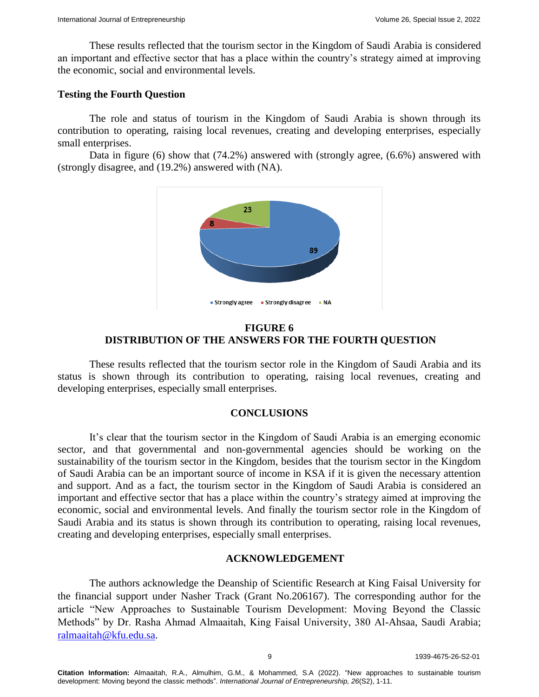These results reflected that the tourism sector in the Kingdom of Saudi Arabia is considered an important and effective sector that has a place within the country's strategy aimed at improving the economic, social and environmental levels.

# **Testing the Fourth Question**

The role and status of tourism in the Kingdom of Saudi Arabia is shown through its contribution to operating, raising local revenues, creating and developing enterprises, especially small enterprises.

Data in figure (6) show that (74.2%) answered with (strongly agree, (6.6%) answered with (strongly disagree, and (19.2%) answered with (NA).



# **FIGURE 6 DISTRIBUTION OF THE ANSWERS FOR THE FOURTH QUESTION**

These results reflected that the tourism sector role in the Kingdom of Saudi Arabia and its status is shown through its contribution to operating, raising local revenues, creating and developing enterprises, especially small enterprises.

# **CONCLUSIONS**

It's clear that the tourism sector in the Kingdom of Saudi Arabia is an emerging economic sector, and that governmental and non-governmental agencies should be working on the sustainability of the tourism sector in the Kingdom, besides that the tourism sector in the Kingdom of Saudi Arabia can be an important source of income in KSA if it is given the necessary attention and support. And as a fact, the tourism sector in the Kingdom of Saudi Arabia is considered an important and effective sector that has a place within the country's strategy aimed at improving the economic, social and environmental levels. And finally the tourism sector role in the Kingdom of Saudi Arabia and its status is shown through its contribution to operating, raising local revenues, creating and developing enterprises, especially small enterprises.

# **ACKNOWLEDGEMENT**

The authors acknowledge the Deanship of Scientific Research at King Faisal University for the financial support under Nasher Track (Grant No.206167). The corresponding author for the article "New Approaches to Sustainable Tourism Development: Moving Beyond the Classic Methods" by Dr. Rasha Ahmad Almaaitah, King Faisal University, 380 Al-Ahsaa, Saudi Arabia; [ralmaaitah@kfu.edu.sa.](mailto:ralmaaitah@kfu.edu.sa)